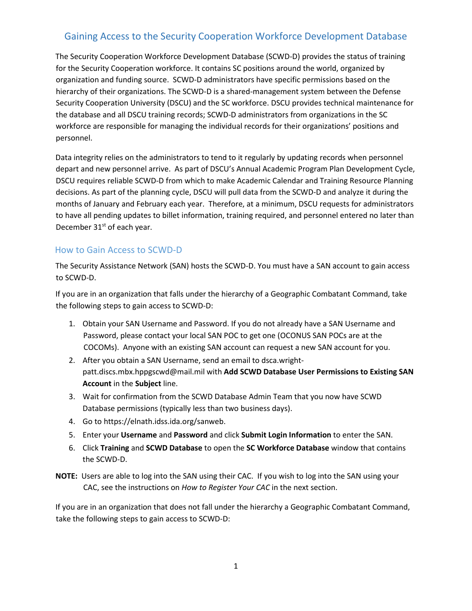# Gaining Access to the Security Cooperation Workforce Development Database

The Security Cooperation Workforce Development Database (SCWD-D) provides the status of training for the Security Cooperation workforce. It contains SC positions around the world, organized by organization and funding source. SCWD-D administrators have specific permissions based on the hierarchy of their organizations. The SCWD-D is a shared-management system between the Defense Security Cooperation University (DSCU) and the SC workforce. DSCU provides technical maintenance for the database and all DSCU training records; SCWD-D administrators from organizations in the SC workforce are responsible for managing the individual records for their organizations' positions and personnel.

Data integrity relies on the administrators to tend to it regularly by updating records when personnel depart and new personnel arrive. As part of DSCU's Annual Academic Program Plan Development Cycle, DSCU requires reliable SCWD-D from which to make Academic Calendar and Training Resource Planning decisions. As part of the planning cycle, DSCU will pull data from the SCWD-D and analyze it during the months of January and February each year. Therefore, at a minimum, DSCU requests for administrators to have all pending updates to billet information, training required, and personnel entered no later than December 31<sup>st</sup> of each year.

### How to Gain Access to SCWD-D

The Security Assistance Network (SAN) hosts the SCWD-D. You must have a SAN account to gain access to SCWD-D.

If you are in an organization that falls under the hierarchy of a Geographic Combatant Command, take the following steps to gain access to SCWD-D:

- 1. Obtain your SAN Username and Password. If you do not already have a SAN Username and Password, please contact your local SAN POC to get one (OCONUS SAN POCs are at the COCOMs). Anyone with an existing SAN account can request a new SAN account for you.
- 2. After you obtain a SAN Username, send an email to dsca.wrightpatt.discs.mbx.hppgscwd@mail.mil with **Add SCWD Database User Permissions to Existing SAN Account** in the **Subject** line.
- 3. Wait for confirmation from the SCWD Database Admin Team that you now have SCWD Database permissions (typically less than two business days).
- 4. Go to https://elnath.idss.ida.org/sanweb.
- 5. Enter your **Username** and **Password** and click **Submit Login Information** to enter the SAN.
- 6. Click **Training** and **SCWD Database** to open the **SC Workforce Database** window that contains the SCWD-D.
- **NOTE:** Users are able to log into the SAN using their CAC. If you wish to log into the SAN using your CAC, see the instructions on *How to Register Your CAC* in the next section.

If you are in an organization that does not fall under the hierarchy a Geographic Combatant Command, take the following steps to gain access to SCWD-D: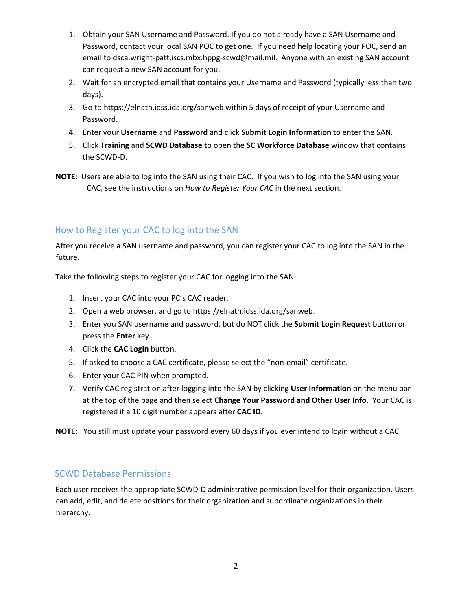- 1. Obtain your SAN Username and Password. If you do not already have a SAN Username and Password, contact your local SAN POC to get one. If you need help locating your POC, send an email to dsca.wright-patt.iscs.mbx.hppg-scwd@mail.mil. Anyone with an existing SAN account can request a new SAN account for you.
- 2. Wait for an encrypted email that contains your Username and Password (typically less than two days).
- 3. Go to https://elnath.idss.ida.org/sanweb within 5 days of receipt of your Username and Password.
- 4. Enter your **Username** and **Password** and click **Submit Login Information** to enter the SAN.
- 5. Click **Training** and **SCWD Database** to open the **SC Workforce Database** window that contains the SCWD-D.
- **NOTE:** Users are able to log into the SAN using their CAC. If you wish to log into the SAN using your CAC, see the instructions on *How to Register Your CAC* in the next section.

### How to Register your CAC to log into the SAN

After you receive a SAN username and password, you can register your CAC to log into the SAN in the future.

Take the following steps to register your CAC for logging into the SAN:

- 1. Insert your CAC into your PC's CAC reader.
- 2. Open a web browser, and go to https://elnath.idss.ida.org/sanweb.
- 3. Enter you SAN username and password, but do NOT click the **Submit Login Request** button or press the **Enter** key.
- 4. Click the **CAC Login** button.
- 5. If asked to choose a CAC certificate, please select the "non-email" certificate.
- 6. Enter your CAC PIN when prompted.
- 7. Verify CAC registration after logging into the SAN by clicking **User Information** on the menu bar at the top of the page and then select **Change Your Password and Other User Info**. Your CAC is registered if a 10 digit number appears after **CAC ID**.

**NOTE:** You still must update your password every 60 days if you ever intend to login without a CAC.

#### SCWD Database Permissions

Each user receives the appropriate SCWD-D administrative permission level for their organization. Users can add, edit, and delete positions for their organization and subordinate organizations in their hierarchy.